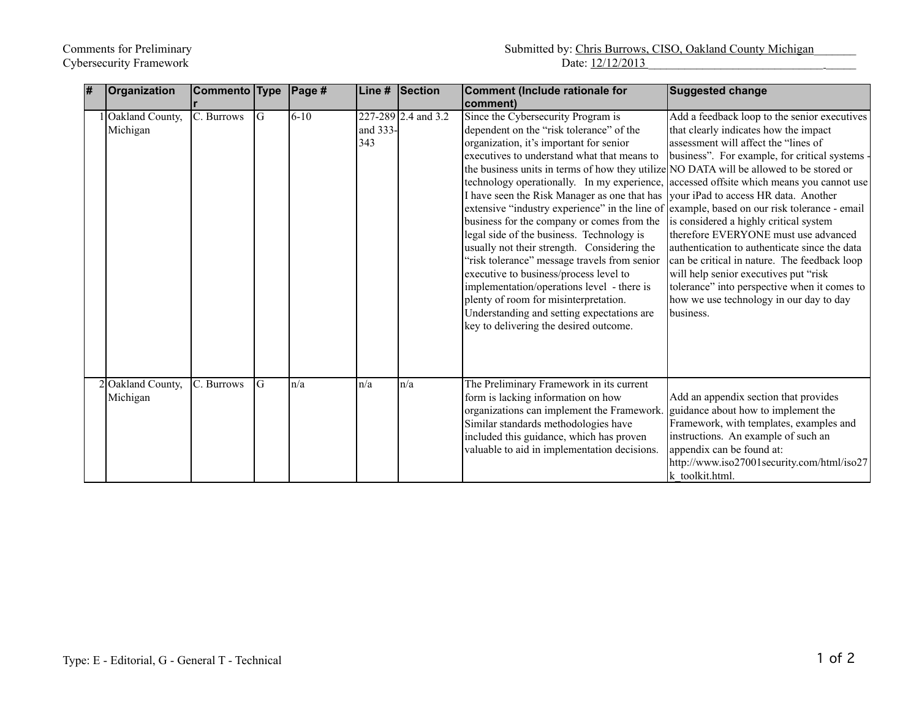| $\overline{\#}$ | Organization                  | Commento Type            |    | Page #   | Line #          | Section             | Comment (Include rationale for<br> comment)                                                                                                                                                                                                                                                                                                                                                                                                                                                                                                                                                                                                                                                                                                                                                                                                                                                                                      | <b>Suggested change</b>                                                                                                                                                                                                                                                                                                                                                                                                                                                                                                                                    |
|-----------------|-------------------------------|--------------------------|----|----------|-----------------|---------------------|----------------------------------------------------------------------------------------------------------------------------------------------------------------------------------------------------------------------------------------------------------------------------------------------------------------------------------------------------------------------------------------------------------------------------------------------------------------------------------------------------------------------------------------------------------------------------------------------------------------------------------------------------------------------------------------------------------------------------------------------------------------------------------------------------------------------------------------------------------------------------------------------------------------------------------|------------------------------------------------------------------------------------------------------------------------------------------------------------------------------------------------------------------------------------------------------------------------------------------------------------------------------------------------------------------------------------------------------------------------------------------------------------------------------------------------------------------------------------------------------------|
|                 | Oakland County,<br>Michigan   | $\overline{C}$ . Burrows | lG | $6 - 10$ | and 333-<br>343 | 227-289 2.4 and 3.2 | Since the Cybersecurity Program is<br>dependent on the "risk tolerance" of the<br>organization, it's important for senior<br>executives to understand what that means to<br>the business units in terms of how they utilize NO DATA will be allowed to be stored or<br>technology operationally. In my experience, accessed offsite which means you cannot use<br>I have seen the Risk Manager as one that has<br>extensive "industry experience" in the line of example, based on our risk tolerance - email<br>business for the company or comes from the<br>legal side of the business. Technology is<br>usually not their strength. Considering the<br>"risk tolerance" message travels from senior<br>executive to business/process level to<br>implementation/operations level - there is<br>plenty of room for misinterpretation.<br>Understanding and setting expectations are<br>key to delivering the desired outcome. | Add a feedback loop to the senior executives<br>that clearly indicates how the impact<br>assessment will affect the "lines of<br>business". For example, for critical systems<br>your iPad to access HR data. Another<br>is considered a highly critical system<br>therefore EVERYONE must use advanced<br>authentication to authenticate since the data<br>can be critical in nature. The feedback loop<br>will help senior executives put "risk"<br>tolerance" into perspective when it comes to<br>how we use technology in our day to day<br>business. |
|                 | 2 Oakland County,<br>Michigan | C. Burrows               | IG | n/a      | n/a             | n/a                 | The Preliminary Framework in its current<br>form is lacking information on how<br>organizations can implement the Framework.<br>Similar standards methodologies have<br>included this guidance, which has proven<br>valuable to aid in implementation decisions.                                                                                                                                                                                                                                                                                                                                                                                                                                                                                                                                                                                                                                                                 | Add an appendix section that provides<br>guidance about how to implement the<br>Framework, with templates, examples and<br>instructions. An example of such an<br>appendix can be found at:<br>http://www.iso27001security.com/html/iso27<br>k toolkit.html.                                                                                                                                                                                                                                                                                               |